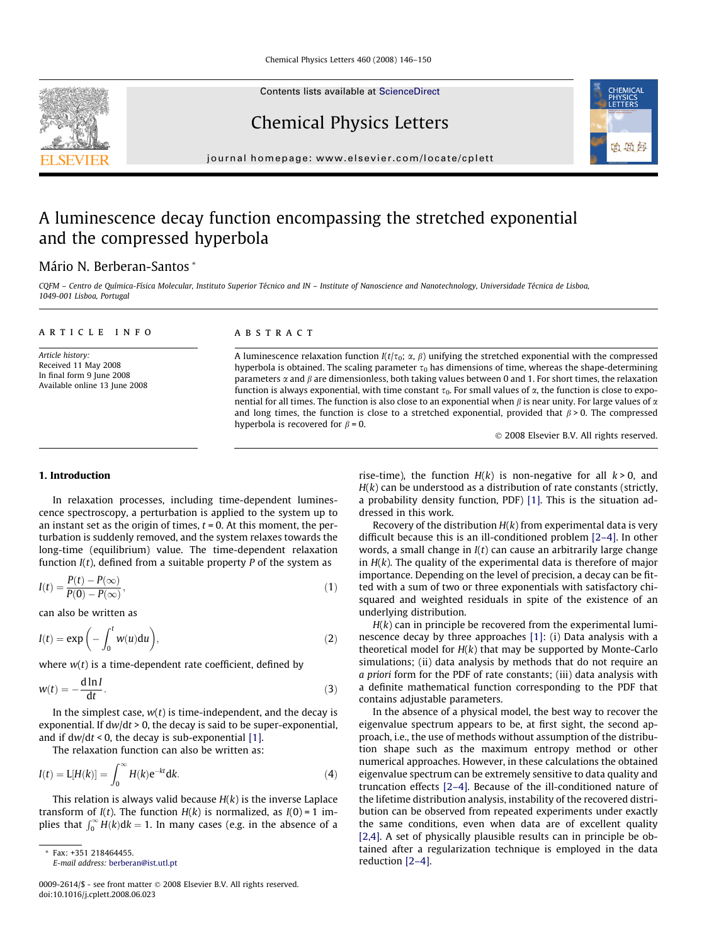Contents lists available at [ScienceDirect](http://www.sciencedirect.com/science/journal/00092614)

Chemical Physics Letters

journal homepage: [www.elsevier.com/locate/cplett](http://www.elsevier.com/locate/cplett)

# A luminescence decay function encompassing the stretched exponential and the compressed hyperbola

## Mário N. Berberan-Santos \*

CQFM – Centro de Química-Física Molecular, Instituto Superior Técnico and IN – Institute of Nanoscience and Nanotechnology, Universidade Técnica de Lisboa, 1049-001 Lisboa, Portugal

|  |  |  | ARTICLE INFO |  |  |
|--|--|--|--------------|--|--|

Article history: Received 11 May 2008 In final form 9 June 2008 Available online 13 June 2008

#### **ABSTRACT**

A luminescence relaxation function  $I(t/\tau_0; \alpha, \beta)$  unifying the stretched exponential with the compressed hyperbola is obtained. The scaling parameter  $\tau_0$  has dimensions of time, whereas the shape-determining parameters  $\alpha$  and  $\beta$  are dimensionless, both taking values between 0 and 1. For short times, the relaxation function is always exponential, with time constant  $\tau_0$ . For small values of  $\alpha$ , the function is close to exponential for all times. The function is also close to an exponential when  $\beta$  is near unity. For large values of  $\alpha$ and long times, the function is close to a stretched exponential, provided that  $\beta > 0$ . The compressed hyperbola is recovered for  $\beta = 0$ .

© 2008 Elsevier B.V. All rights reserved.

## 1. Introduction

In relaxation processes, including time-dependent luminescence spectroscopy, a perturbation is applied to the system up to an instant set as the origin of times,  $t = 0$ . At this moment, the perturbation is suddenly removed, and the system relaxes towards the long-time (equilibrium) value. The time-dependent relaxation function  $I(t)$ , defined from a suitable property P of the system as

$$
I(t) = \frac{P(t) - P(\infty)}{P(0) - P(\infty)},
$$
\n(1)

can also be written as

$$
I(t) = \exp\left(-\int_0^t w(u) \mathrm{d}u\right),\tag{2}
$$

where  $w(t)$  is a time-dependent rate coefficient, defined by

$$
w(t) = -\frac{d \ln I}{dt}.
$$
\n(3)

In the simplest case,  $w(t)$  is time-independent, and the decay is exponential. If  $dw/dt > 0$ , the decay is said to be super-exponential, and if  $dw/dt < 0$ , the decay is sub-exponential [\[1\].](#page-3-0)

The relaxation function can also be written as:

$$
I(t) = \mathcal{L}[H(k)] = \int_0^\infty H(k)e^{-kt}dk.
$$
 (4)

This relation is always valid because  $H(k)$  is the inverse Laplace transform of  $I(t)$ . The function  $H(k)$  is normalized, as  $I(0) = 1$  implies that  $\int_0^\infty H(k)dk = 1$ . In many cases (e.g. in the absence of a

rise-time), the function  $H(k)$  is non-negative for all  $k > 0$ , and  $H(k)$  can be understood as a distribution of rate constants (strictly, a probability density function, PDF) [\[1\].](#page-3-0) This is the situation addressed in this work.

Recovery of the distribution  $H(k)$  from experimental data is very difficult because this is an ill-conditioned problem [\[2–4\].](#page-3-0) In other words, a small change in  $I(t)$  can cause an arbitrarily large change in  $H(k)$ . The quality of the experimental data is therefore of major importance. Depending on the level of precision, a decay can be fitted with a sum of two or three exponentials with satisfactory chisquared and weighted residuals in spite of the existence of an underlying distribution.

 $H(k)$  can in principle be recovered from the experimental luminescence decay by three approaches [\[1\]](#page-3-0): (i) Data analysis with a theoretical model for  $H(k)$  that may be supported by Monte-Carlo simulations; (ii) data analysis by methods that do not require an a priori form for the PDF of rate constants; (iii) data analysis with a definite mathematical function corresponding to the PDF that contains adjustable parameters.

In the absence of a physical model, the best way to recover the eigenvalue spectrum appears to be, at first sight, the second approach, i.e., the use of methods without assumption of the distribution shape such as the maximum entropy method or other numerical approaches. However, in these calculations the obtained eigenvalue spectrum can be extremely sensitive to data quality and truncation effects [\[2–4\].](#page-3-0) Because of the ill-conditioned nature of the lifetime distribution analysis, instability of the recovered distribution can be observed from repeated experiments under exactly the same conditions, even when data are of excellent quality [\[2,4\]](#page-3-0). A set of physically plausible results can in principle be obtained after a regularization technique is employed in the data reduction [\[2–4\].](#page-3-0)

<span id="page-0-0"></span>



<sup>\*</sup> Fax: +351 218464455.

E-mail address: [berberan@ist.utl.pt](mailto:berberan@ist.utl.pt)

<sup>0009-2614/\$ -</sup> see front matter © 2008 Elsevier B.V. All rights reserved. doi:10.1016/j.cplett.2008.06.023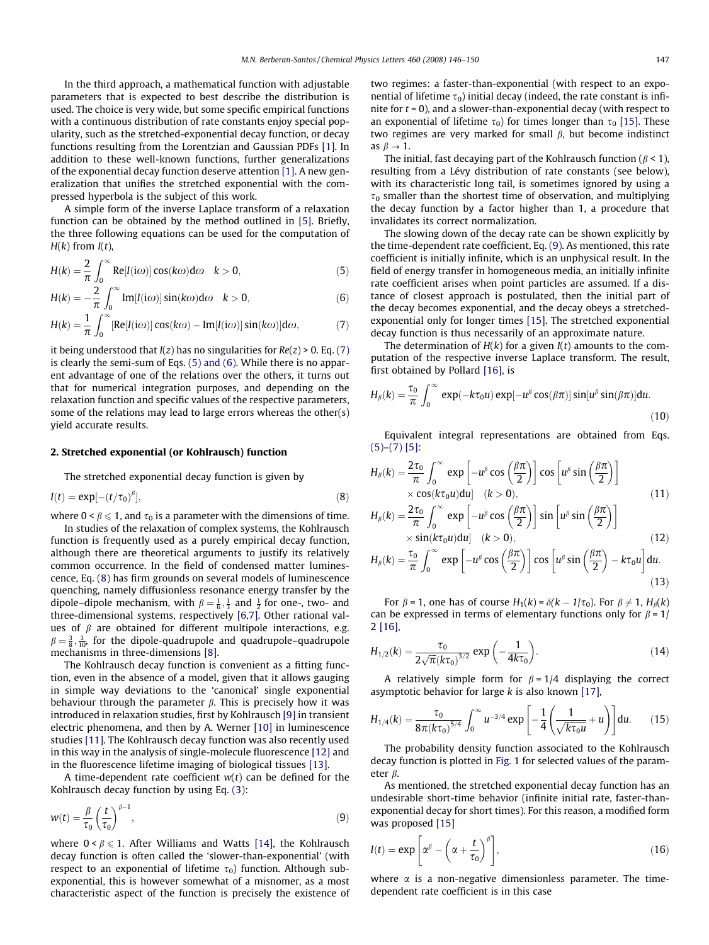<span id="page-1-0"></span>In the third approach, a mathematical function with adjustable parameters that is expected to best describe the distribution is used. The choice is very wide, but some specific empirical functions with a continuous distribution of rate constants enjoy special popularity, such as the stretched-exponential decay function, or decay functions resulting from the Lorentzian and Gaussian PDFs [\[1\]](#page-3-0). In addition to these well-known functions, further generalizations of the exponential decay function deserve attention [\[1\].](#page-3-0) A new generalization that unifies the stretched exponential with the compressed hyperbola is the subject of this work.

A simple form of the inverse Laplace transform of a relaxation function can be obtained by the method outlined in [\[5\].](#page-3-0) Briefly, the three following equations can be used for the computation of  $H(k)$  from  $I(t)$ ,

$$
H(k) = \frac{2}{\pi} \int_0^\infty \text{Re}[I(i\omega)] \cos(k\omega) d\omega \quad k > 0,
$$
 (5)

$$
H(k) = -\frac{2}{\pi} \int_0^\infty \text{Im}[I(i\omega)] \sin(k\omega) d\omega \quad k > 0,
$$
\n(6)

$$
H(k) = \frac{1}{\pi} \int_0^\infty [\text{Re}[I(i\omega)] \cos(k\omega) - \text{Im}[I(i\omega)] \sin(k\omega)] d\omega, \tag{7}
$$

it being understood that  $I(z)$  has no singularities for  $Re(z) > 0$ . Eq. (7) is clearly the semi-sum of Eqs. (5) and (6). While there is no apparent advantage of one of the relations over the others, it turns out that for numerical integration purposes, and depending on the relaxation function and specific values of the respective parameters, some of the relations may lead to large errors whereas the other(s) yield accurate results.

#### 2. Stretched exponential (or Kohlrausch) function

The stretched exponential decay function is given by

$$
I(t) = \exp[-(t/\tau_0)^{\beta}], \tag{8}
$$

where  $0 < \beta \leq 1$ , and  $\tau_0$  is a parameter with the dimensions of time.

In studies of the relaxation of complex systems, the Kohlrausch function is frequently used as a purely empirical decay function, although there are theoretical arguments to justify its relatively common occurrence. In the field of condensed matter luminescence, Eq. (8) has firm grounds on several models of luminescence quenching, namely diffusionless resonance energy transfer by the dipole–dipole mechanism, with  $\beta = \frac{1}{6}, \frac{1}{3}$  and  $\frac{1}{2}$  for one-, two- and three-dimensional systems, respectively [\[6,7\].](#page-3-0) Other rational values of  $\beta$  are obtained for different multipole interactions, e.g.  $\beta = \frac{3}{8}, \frac{3}{10}$ , for the dipole-quadrupole and quadrupole-quadrupole mechanisms in three-dimensions [\[8\]](#page-3-0).

The Kohlrausch decay function is convenient as a fitting function, even in the absence of a model, given that it allows gauging in simple way deviations to the 'canonical' single exponential behaviour through the parameter  $\beta$ . This is precisely how it was introduced in relaxation studies, first by Kohlrausch [\[9\]](#page-3-0) in transient electric phenomena, and then by A. Werner [\[10\]](#page-3-0) in luminescence studies [\[11\]](#page-3-0). The Kohlrausch decay function was also recently used in this way in the analysis of single-molecule fluorescence [\[12\]](#page-3-0) and in the fluorescence lifetime imaging of biological tissues [\[13\]](#page-3-0).

A time-dependent rate coefficient  $w(t)$  can be defined for the Kohlrausch decay function by using Eq. [\(3\):](#page-0-0)

$$
w(t) = \frac{\beta}{\tau_0} \left(\frac{t}{\tau_0}\right)^{\beta - 1},\tag{9}
$$

where  $0 < \beta \leq 1$ . After Williams and Watts [\[14\]](#page-3-0), the Kohlrausch decay function is often called the 'slower-than-exponential' (with respect to an exponential of lifetime  $\tau_0$ ) function. Although subexponential, this is however somewhat of a misnomer, as a most characteristic aspect of the function is precisely the existence of two regimes: a faster-than-exponential (with respect to an exponential of lifetime  $\tau_0$ ) initial decay (indeed, the rate constant is infinite for  $t = 0$ ), and a slower-than-exponential decay (with respect to an exponential of lifetime  $\tau_0$ ) for times longer than  $\tau_0$  [\[15\]](#page-4-0). These two regimes are very marked for small  $\beta$ , but become indistinct as  $\beta \rightarrow 1$ .

The initial, fast decaying part of the Kohlrausch function ( $\beta$  < 1), resulting from a Lévy distribution of rate constants (see below), with its characteristic long tail, is sometimes ignored by using a  $\tau_0$  smaller than the shortest time of observation, and multiplying the decay function by a factor higher than 1, a procedure that invalidates its correct normalization.

The slowing down of the decay rate can be shown explicitly by the time-dependent rate coefficient, Eq. (9). As mentioned, this rate coefficient is initially infinite, which is an unphysical result. In the field of energy transfer in homogeneous media, an initially infinite rate coefficient arises when point particles are assumed. If a distance of closest approach is postulated, then the initial part of the decay becomes exponential, and the decay obeys a stretchedexponential only for longer times [\[15\]](#page-4-0). The stretched exponential decay function is thus necessarily of an approximate nature.

The determination of  $H(k)$  for a given  $I(t)$  amounts to the computation of the respective inverse Laplace transform. The result, first obtained by Pollard [\[16\],](#page-4-0) is

$$
H_{\beta}(k) = \frac{\tau_0}{\pi} \int_0^{\infty} \exp(-k\tau_0 u) \exp[-u^{\beta} \cos(\beta \pi)] \sin[u^{\beta} \sin(\beta \pi)] du.
$$
\n(10)

Equivalent integral representations are obtained from Eqs.  $(5)-(7)$  [\[5\]](#page-3-0):

$$
H_{\beta}(k) = \frac{2\tau_0}{\pi} \int_0^{\infty} \exp\left[-u^{\beta}\cos\left(\frac{\beta\pi}{2}\right)\right] \cos\left[u^{\beta}\sin\left(\frac{\beta\pi}{2}\right)\right]
$$
  
× cos(k $\tau_0 u$ )du]  $(k > 0)$ ,  $(8\pi)$  (11)

$$
H_{\beta}(k) = \frac{2\tau_0}{\pi} \int_0^{\infty} \exp\left[-u^{\beta}\cos\left(\frac{\beta\pi}{2}\right)\right] \sin\left[u^{\beta}\sin\left(\frac{\beta\pi}{2}\right)\right]
$$
  
  $\times \sin(k\tau_0 u)du$  (k > 0),  

$$
H_{\beta}(k) = \frac{\tau_0}{\pi} \int_0^{\infty} \exp\left[-u^{\beta}\cos\left(\frac{\beta\pi}{2}\right)\right] \cos\left[u^{\beta}\sin\left(\frac{\beta\pi}{2}\right) - k\tau_0 u\right] du.
$$
 (13)

For  $\beta$  = 1, one has of course  $H_1(k) = \delta(k - 1/\tau_0)$ . For  $\beta \neq 1$ ,  $H_\beta(k)$ can be expressed in terms of elementary functions only for  $\beta = 1/$ 2 [\[16\]](#page-4-0),

$$
H_{1/2}(k) = \frac{\tau_0}{2\sqrt{\pi}(k\tau_0)^{3/2}} \exp\left(-\frac{1}{4k\tau_0}\right).
$$
 (14)

A relatively simple form for  $\beta = 1/4$  displaying the correct asymptotic behavior for large  $k$  is also known [\[17\],](#page-4-0)

$$
H_{1/4}(k) = \frac{\tau_0}{8\pi (k\tau_0)^{5/4}} \int_0^\infty u^{-3/4} \exp\left[-\frac{1}{4}\left(\frac{1}{\sqrt{k\tau_0 u}} + u\right)\right] du.
$$
 (15)

The probability density function associated to the Kohlrausch decay function is plotted in [Fig. 1](#page-2-0) for selected values of the parameter  $\beta$ .

As mentioned, the stretched exponential decay function has an undesirable short-time behavior (infinite initial rate, faster-thanexponential decay for short times). For this reason, a modified form was proposed [\[15\]](#page-4-0)

$$
I(t) = \exp\left[\alpha^{\beta} - \left(\alpha + \frac{t}{\tau_0}\right)^{\beta}\right],\tag{16}
$$

where  $\alpha$  is a non-negative dimensionless parameter. The timedependent rate coefficient is in this case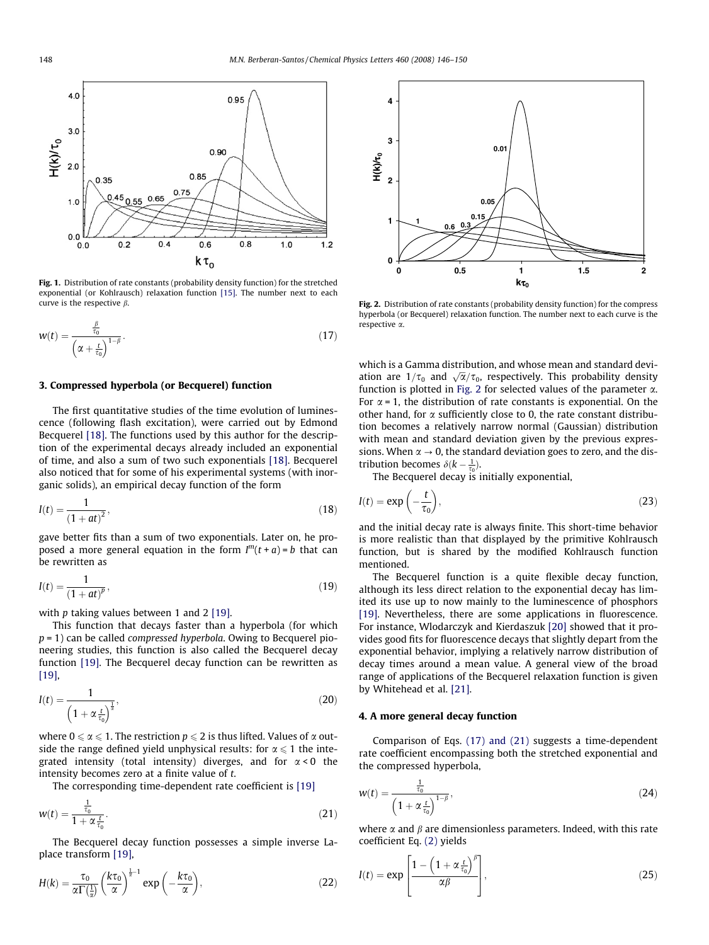<span id="page-2-0"></span>

Fig. 1. Distribution of rate constants (probability density function) for the stretched exponential (or Kohlrausch) relaxation function [\[15\].](#page-4-0) The number next to each curve is the respective  $\beta$ .

$$
w(t) = \frac{\frac{\beta}{\tau_0}}{\left(\alpha + \frac{t}{\tau_0}\right)^{1-\beta}}.\tag{17}
$$

## 3. Compressed hyperbola (or Becquerel) function

The first quantitative studies of the time evolution of luminescence (following flash excitation), were carried out by Edmond Becquerel [\[18\]](#page-4-0). The functions used by this author for the description of the experimental decays already included an exponential of time, and also a sum of two such exponentials [\[18\].](#page-4-0) Becquerel also noticed that for some of his experimental systems (with inorganic solids), an empirical decay function of the form

$$
I(t) = \frac{1}{(1+at)^2},
$$
\n(18)

gave better fits than a sum of two exponentials. Later on, he proposed a more general equation in the form  $I^{m}(t + a) = b$  that can be rewritten as

$$
I(t) = \frac{1}{(1+at)^p},
$$
\n(19)

with  $p$  taking values between 1 and 2 [\[19\]](#page-4-0).

This function that decays faster than a hyperbola (for which  $p = 1$ ) can be called *compressed hyperbola*. Owing to Becquerel pioneering studies, this function is also called the Becquerel decay function [\[19\]](#page-4-0). The Becquerel decay function can be rewritten as [\[19\]](#page-4-0),

$$
I(t) = \frac{1}{\left(1 + \alpha \frac{t}{\tau_0}\right)^{\frac{1}{2}}},\tag{20}
$$

where  $0 \le \alpha \le 1$ . The restriction  $p \le 2$  is thus lifted. Values of  $\alpha$  outside the range defined yield unphysical results: for  $\alpha \leq 1$  the integrated intensity (total intensity) diverges, and for  $\alpha < 0$  the intensity becomes zero at a finite value of t.

The corresponding time-dependent rate coefficient is [\[19\]](#page-4-0)

$$
w(t) = \frac{\frac{1}{\tau_0}}{1 + \alpha \frac{t}{\tau_0}}.\tag{21}
$$

The Becquerel decay function possesses a simple inverse Laplace transform [\[19\],](#page-4-0)

$$
H(k) = \frac{\tau_0}{\alpha \Gamma(\frac{1}{\alpha})} \left(\frac{k \tau_0}{\alpha}\right)^{\frac{1}{\alpha}-1} \exp\left(-\frac{k \tau_0}{\alpha}\right),\tag{22}
$$



Fig. 2. Distribution of rate constants (probability density function) for the compress hyperbola (or Becquerel) relaxation function. The number next to each curve is the respective a.

which is a Gamma distribution, and whose mean and standard deviwhich is a damma distribution, and whose fiear and standard deviation are  $1/\tau_0$  and  $\sqrt{\alpha}/\tau_0$ , respectively. This probability density function is plotted in Fig. 2 for selected values of the parameter  $\alpha$ . For  $\alpha$  = 1, the distribution of rate constants is exponential. On the other hand, for  $\alpha$  sufficiently close to 0, the rate constant distribution becomes a relatively narrow normal (Gaussian) distribution with mean and standard deviation given by the previous expressions. When  $\alpha \rightarrow 0$ , the standard deviation goes to zero, and the distribution becomes  $\delta(k - \frac{1}{\tau_0})$ .

The Becquerel decay is initially exponential,

$$
I(t) = \exp\left(-\frac{t}{\tau_0}\right),\tag{23}
$$

and the initial decay rate is always finite. This short-time behavior is more realistic than that displayed by the primitive Kohlrausch function, but is shared by the modified Kohlrausch function mentioned.

The Becquerel function is a quite flexible decay function, although its less direct relation to the exponential decay has limited its use up to now mainly to the luminescence of phosphors [\[19\]](#page-4-0). Nevertheless, there are some applications in fluorescence. For instance, Wlodarczyk and Kierdaszuk [\[20\]](#page-4-0) showed that it provides good fits for fluorescence decays that slightly depart from the exponential behavior, implying a relatively narrow distribution of decay times around a mean value. A general view of the broad range of applications of the Becquerel relaxation function is given by Whitehead et al. [\[21\].](#page-4-0)

## 4. A more general decay function

Comparison of Eqs. (17) and (21) suggests a time-dependent rate coefficient encompassing both the stretched exponential and the compressed hyperbola,

$$
w(t) = \frac{\frac{1}{\tau_0}}{\left(1 + \alpha \frac{t}{\tau_0}\right)^{1-\beta}},\tag{24}
$$

where  $\alpha$  and  $\beta$  are dimensionless parameters. Indeed, with this rate coefficient Eq. [\(2\)](#page-0-0) yields

$$
I(t) = \exp\left[\frac{1 - \left(1 + \alpha \frac{t}{\tau_0}\right)^{\beta}}{\alpha \beta}\right],
$$
\n(25)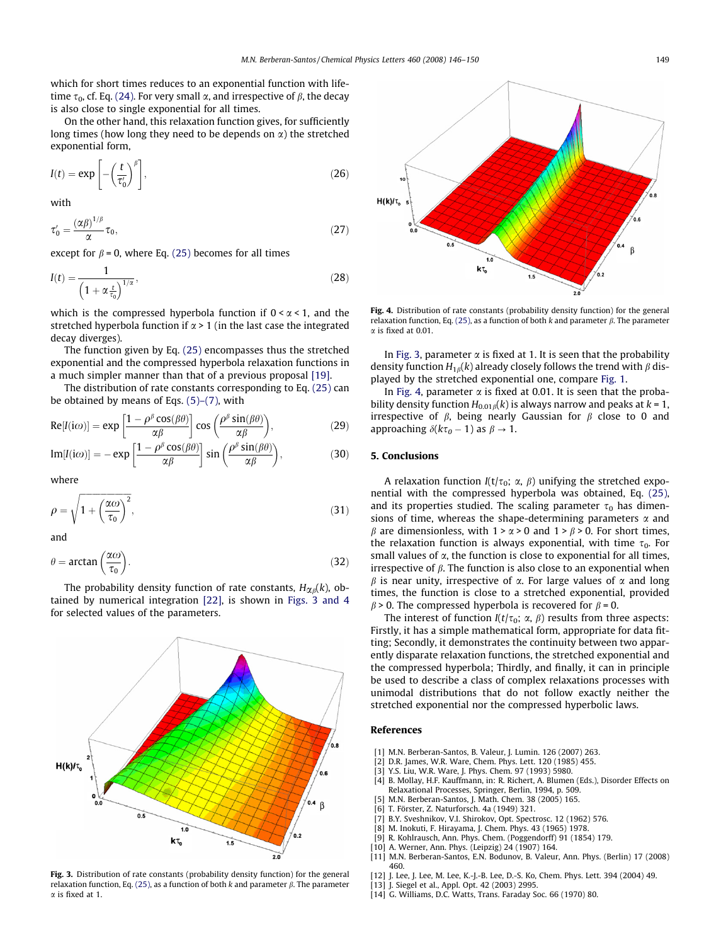<span id="page-3-0"></span>which for short times reduces to an exponential function with lifetime  $\tau_0$ , cf. Eq. [\(24\)](#page-2-0). For very small  $\alpha$ , and irrespective of  $\beta$ , the decay is also close to single exponential for all times.

On the other hand, this relaxation function gives, for sufficiently long times (how long they need to be depends on  $\alpha$ ) the stretched exponential form,

$$
I(t) = \exp\left[-\left(\frac{t}{\tau_0'}\right)^{\beta}\right],\tag{26}
$$

with

$$
\tau_0' = \frac{(\alpha \beta)^{1/\beta}}{\alpha} \tau_0,\tag{27}
$$

except for  $\beta$  = 0, where Eq. [\(25\)](#page-2-0) becomes for all times

$$
I(t) = \frac{1}{\left(1 + \alpha \frac{t}{t_0}\right)^{1/\alpha}},\tag{28}
$$

which is the compressed hyperbola function if  $0 < \alpha < 1$ , and the stretched hyperbola function if  $\alpha$  > 1 (in the last case the integrated decay diverges).

The function given by Eq. [\(25\)](#page-2-0) encompasses thus the stretched exponential and the compressed hyperbola relaxation functions in a much simpler manner than that of a previous proposal [\[19\]](#page-4-0).

The distribution of rate constants corresponding to Eq. [\(25\)](#page-2-0) can be obtained by means of Eqs. [\(5\)–\(7\)](#page-1-0), with

$$
Re[I(i\omega)] = exp\left[\frac{1 - \rho^{\beta} \cos(\beta \theta)}{\alpha \beta}\right] cos\left(\frac{\rho^{\beta} \sin(\beta \theta)}{\alpha \beta}\right),
$$
 (29)

$$
\text{Im}[I(i\omega)] = -\exp\left[\frac{1-\rho^{\beta}\cos(\beta\theta)}{\alpha\beta}\right]\sin\left(\frac{\rho^{\beta}\sin(\beta\theta)}{\alpha\beta}\right),\tag{30}
$$

where

$$
\rho = \sqrt{1 + \left(\frac{\alpha \omega}{\tau_0}\right)^2},\tag{31}
$$

and

$$
\theta = \arctan\left(\frac{\alpha \omega}{\tau_0}\right). \tag{32}
$$

The probability density function of rate constants,  $H_{\alpha\beta}(k)$ , obtained by numerical integration [\[22\]](#page-4-0), is shown in Figs. 3 and 4 for selected values of the parameters.



Fig. 3. Distribution of rate constants (probability density function) for the general relaxation function, Eq. [\(25\)](#page-2-0), as a function of both k and parameter  $\beta$ . The parameter  $\alpha$  is fixed at 1.



Fig. 4. Distribution of rate constants (probability density function) for the general relaxation function, Eq. [\(25\)](#page-2-0), as a function of both k and parameter  $\beta$ . The parameter  $\alpha$  is fixed at 0.01.

In Fig. 3, parameter  $\alpha$  is fixed at 1. It is seen that the probability density function  $H_{1\beta}(k)$  already closely follows the trend with  $\beta$  displayed by the stretched exponential one, compare [Fig. 1.](#page-2-0)

In Fig. 4, parameter  $\alpha$  is fixed at 0.01. It is seen that the probability density function  $H_{0.01\beta}(k)$  is always narrow and peaks at  $k = 1$ , irrespective of  $\beta$ , being nearly Gaussian for  $\beta$  close to 0 and approaching  $\delta(k\tau_0 - 1)$  as  $\beta \to 1$ .

### 5. Conclusions

A relaxation function  $I(t/\tau_0; \alpha, \beta)$  unifying the stretched exponential with the compressed hyperbola was obtained, Eq. [\(25\),](#page-2-0) and its properties studied. The scaling parameter  $\tau_0$  has dimensions of time, whereas the shape-determining parameters  $\alpha$  and  $\beta$  are dimensionless, with  $1 > \alpha > 0$  and  $1 > \beta > 0$ . For short times, the relaxation function is always exponential, with time  $\tau_0$ . For small values of  $\alpha$ , the function is close to exponential for all times, irrespective of  $\beta$ . The function is also close to an exponential when  $\beta$  is near unity, irrespective of  $\alpha$ . For large values of  $\alpha$  and long times, the function is close to a stretched exponential, provided  $\beta$  > 0. The compressed hyperbola is recovered for  $\beta$  = 0.

The interest of function  $I(t/\tau_0; \alpha, \beta)$  results from three aspects: Firstly, it has a simple mathematical form, appropriate for data fitting; Secondly, it demonstrates the continuity between two apparently disparate relaxation functions, the stretched exponential and the compressed hyperbola; Thirdly, and finally, it can in principle be used to describe a class of complex relaxations processes with unimodal distributions that do not follow exactly neither the stretched exponential nor the compressed hyperbolic laws.

#### References

- [1] M.N. Berberan-Santos, B. Valeur, J. Lumin. 126 (2007) 263.
- [2] D.R. James, W.R. Ware, Chem. Phys. Lett. 120 (1985) 455.
- [3] Y.S. Liu, W.R. Ware, J. Phys. Chem. 97 (1993) 5980.
- [4] B. Mollay, H.F. Kauffmann, in: R. Richert, A. Blumen (Eds.), Disorder Effects on Relaxational Processes, Springer, Berlin, 1994, p. 509.
- M.N. Berberan-Santos, J. Math. Chem. 38 (2005) 165.
- [6] T. Förster, Z. Naturforsch. 4a (1949) 321.
- [7] B.Y. Sveshnikov, V.I. Shirokov, Opt. Spectrosc. 12 (1962) 576.<br>[8] M. Inokuti, F. Hiravama, I. Chem. Phys. 43 (1965) 1978.
- [8] M. Inokuti, F. Hirayama, J. Chem. Phys. 43 (1965) 1978.
- [9] R. Kohlrausch, Ann. Phys. Chem. (Poggendorff) 91 (1854) 179.
- [10] A. Werner, Ann. Phys. (Leipzig) 24 (1907) 164.
- [11] M.N. Berberan-Santos, E.N. Bodunov, B. Valeur, Ann. Phys. (Berlin) 17 (2008) 460.
- [12] J. Lee, J. Lee, M. Lee, K.-J.-B. Lee, D.-S. Ko, Chem. Phys. Lett. 394 (2004) 49.
- [13] J. Siegel et al., Appl. Opt. 42 (2003) 2995.
- [14] G. Williams, D.C. Watts, Trans. Faraday Soc. 66 (1970) 80.